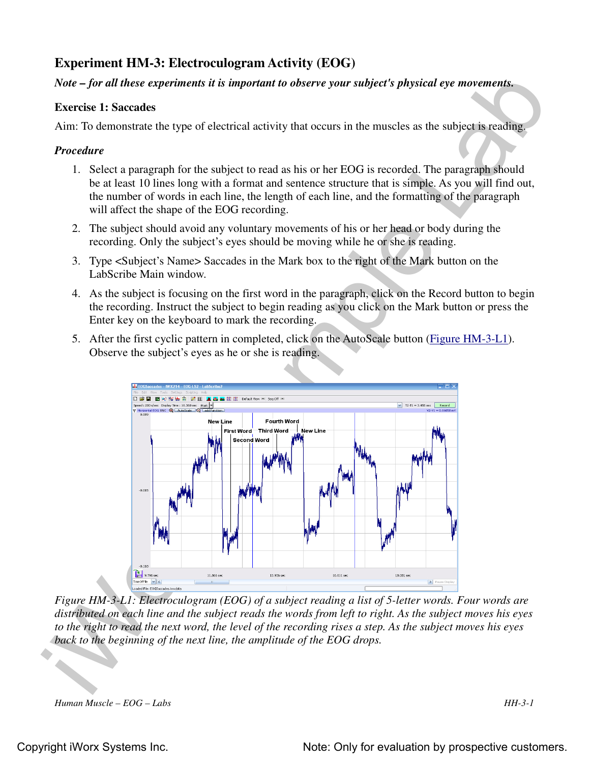# **Experiment HM-3: Electroculogram Activity (EOG)**

# *Note – for all these experiments it is important to observe your subject's physical eye movements.*

## **Exercise 1: Saccades**

Aim: To demonstrate the type of electrical activity that occurs in the muscles as the subject is reading.

## *Procedure*

- 1. Select a paragraph for the subject to read as his or her EOG is recorded. The paragraph should be at least 10 lines long with a format and sentence structure that is simple. As you will find out, the number of words in each line, the length of each line, and the formatting of the paragraph will affect the shape of the EOG recording.
- 2. The subject should avoid any voluntary movements of his or her head or body during the recording. Only the subject's eyes should be moving while he or she is reading.
- 3. Type <Subject's Name> Saccades in the Mark box to the right of the Mark button on the LabScribe Main window.
- 4. As the subject is focusing on the first word in the paragraph, click on the Record button to begin the recording. Instruct the subject to begin reading as you click on the Mark button or press the Enter key on the keyboard to mark the recording.
- 5. After the first cyclic pattern in completed, click on the AutoScale button (Figure HM-3-L1). Observe the subject's eyes as he or she is reading.



*Figure HM-3-L1: Electroculogram (EOG) of a subject reading a list of 5-letter words. Four words are distributed on each line and the subject reads the words from left to right. As the subject moves his eyes to the right to read the next word, the level of the recording rises a step. As the subject moves his eyes back to the beginning of the next line, the amplitude of the EOG drops.*

*Human Muscle – EOG – Labs HH-3-1*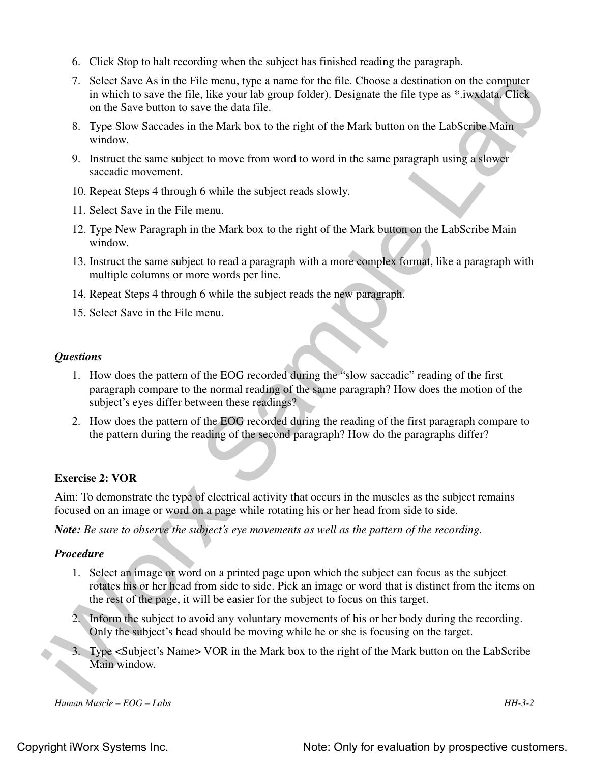- 6. Click Stop to halt recording when the subject has finished reading the paragraph.
- 7. Select Save As in the File menu, type a name for the file. Choose a destination on the computer in which to save the file, like your lab group folder). Designate the file type as \*.iwxdata. Click on the Save button to save the data file.
- 8. Type Slow Saccades in the Mark box to the right of the Mark button on the LabScribe Main window.
- 9. Instruct the same subject to move from word to word in the same paragraph using a slower saccadic movement.
- 10. Repeat Steps 4 through 6 while the subject reads slowly.
- 11. Select Save in the File menu.
- 12. Type New Paragraph in the Mark box to the right of the Mark button on the LabScribe Main window.
- 13. Instruct the same subject to read a paragraph with a more complex format, like a paragraph with multiple columns or more words per line.
- 14. Repeat Steps 4 through 6 while the subject reads the new paragraph.
- 15. Select Save in the File menu.

#### *Questions*

- 1. How does the pattern of the EOG recorded during the "slow saccadic" reading of the first paragraph compare to the normal reading of the same paragraph? How does the motion of the subject's eyes differ between these readings?
- 2. How does the pattern of the EOG recorded during the reading of the first paragraph compare to the pattern during the reading of the second paragraph? How do the paragraphs differ?

### **Exercise 2: VOR**

Aim: To demonstrate the type of electrical activity that occurs in the muscles as the subject remains focused on an image or word on a page while rotating his or her head from side to side.

*Note: Be sure to observe the subject's eye movements as well as the pattern of the recording.*

### *Procedure*

- 7. Select Sine As in the File menu, type a name for the file. Choose a desiination on the computer<br>in which is a see that in the speed highest photocol, besignate the file type as "a reading to which is a set that be seen 1. Select an image or word on a printed page upon which the subject can focus as the subject rotates his or her head from side to side. Pick an image or word that is distinct from the items on the rest of the page, it will be easier for the subject to focus on this target.
	- 2. Inform the subject to avoid any voluntary movements of his or her body during the recording. Only the subject's head should be moving while he or she is focusing on the target.
	- 3. Type <Subject's Name> VOR in the Mark box to the right of the Mark button on the LabScribe Main window.

*Human Muscle – EOG – Labs HH-3-2*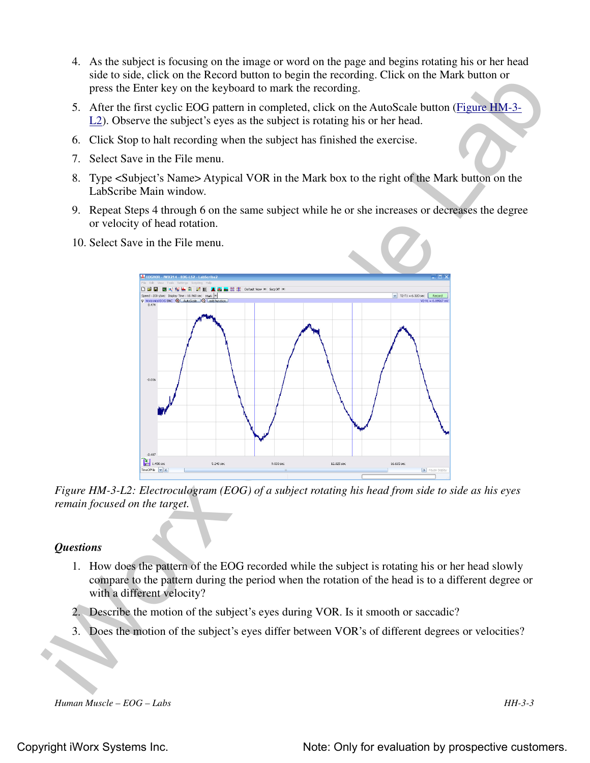- 4. As the subject is focusing on the image or word on the page and begins rotating his or her head side to side, click on the Record button to begin the recording. Click on the Mark button or press the Enter key on the keyboard to mark the recording.
- 5. After the first cyclic EOG pattern in completed, click on the AutoScale button (Figure HM-3- L2). Observe the subject's eyes as the subject is rotating his or her head.
- 6. Click Stop to halt recording when the subject has finished the exercise.
- 7. Select Save in the File menu.
- 8. Type <Subject's Name> Atypical VOR in the Mark box to the right of the Mark button on the LabScribe Main window.
- 9. Repeat Steps 4 through 6 on the same subject while he or she increases or decreases the degree or velocity of head rotation.
- 10. Select Save in the File menu.



*Figure HM-3-L2: Electroculogram (EOG) of a subject rotating his head from side to side as his eyes remain focused on the target.*

## *Questions*

- 1. How does the pattern of the EOG recorded while the subject is rotating his or her head slowly compare to the pattern during the period when the rotation of the head is to a different degree or with a different velocity?
- 2. Describe the motion of the subject's eyes during VOR. Is it smooth or saccadic?
- 3. Does the motion of the subject's eyes differ between VOR's of different degrees or velocities?

*Human Muscle – EOG – Labs HH-3-3*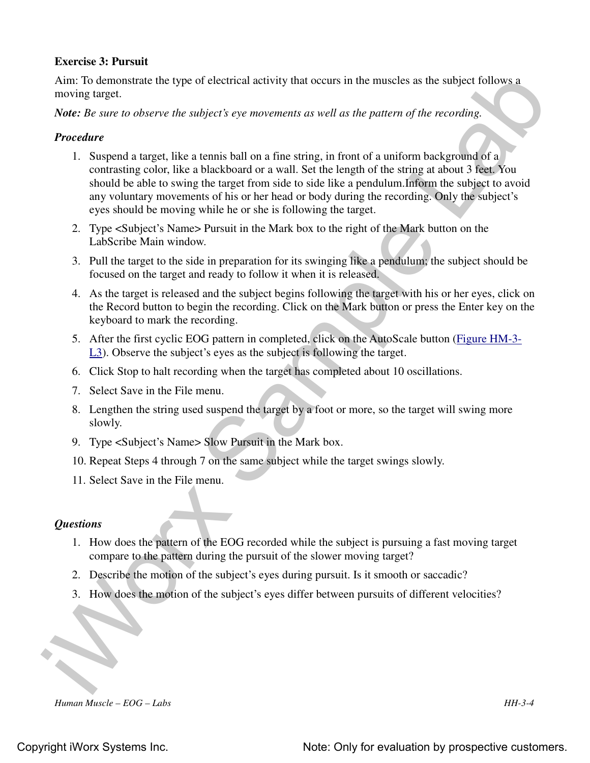## **Exercise 3: Pursuit**

Aim: To demonstrate the type of electrical activity that occurs in the muscles as the subject follows a moving target.

*Note: Be sure to observe the subject's eye movements as well as the pattern of the recording.*

## *Procedure*

- Ain: To demonstrate the type of electrical activity that necurs in the muscles as the subject follows a<br>Note: *De sure to observe the subject's* ope *movements* as well as the pattern of the recording<br>Note: *De sure to ob* 1. Suspend a target, like a tennis ball on a fine string, in front of a uniform background of a contrasting color, like a blackboard or a wall. Set the length of the string at about 3 feet. You should be able to swing the target from side to side like a pendulum.Inform the subject to avoid any voluntary movements of his or her head or body during the recording. Only the subject's eyes should be moving while he or she is following the target.
	- 2. Type <Subject's Name> Pursuit in the Mark box to the right of the Mark button on the LabScribe Main window.
	- 3. Pull the target to the side in preparation for its swinging like a pendulum; the subject should be focused on the target and ready to follow it when it is released.
	- 4. As the target is released and the subject begins following the target with his or her eyes, click on the Record button to begin the recording. Click on the Mark button or press the Enter key on the keyboard to mark the recording.
	- 5. After the first cyclic EOG pattern in completed, click on the AutoScale button (Figure HM-3- L3). Observe the subject's eyes as the subject is following the target.
	- 6. Click Stop to halt recording when the target has completed about 10 oscillations.
	- 7. Select Save in the File menu.
	- 8. Lengthen the string used suspend the target by a foot or more, so the target will swing more slowly.
	- 9. Type <Subject's Name> Slow Pursuit in the Mark box.
	- 10. Repeat Steps 4 through 7 on the same subject while the target swings slowly.
	- 11. Select Save in the File menu.

### *Questions*

- 1. How does the pattern of the EOG recorded while the subject is pursuing a fast moving target compare to the pattern during the pursuit of the slower moving target?
- 2. Describe the motion of the subject's eyes during pursuit. Is it smooth or saccadic?
- 3. How does the motion of the subject's eyes differ between pursuits of different velocities?

*Human Muscle – EOG – Labs HH-3-4*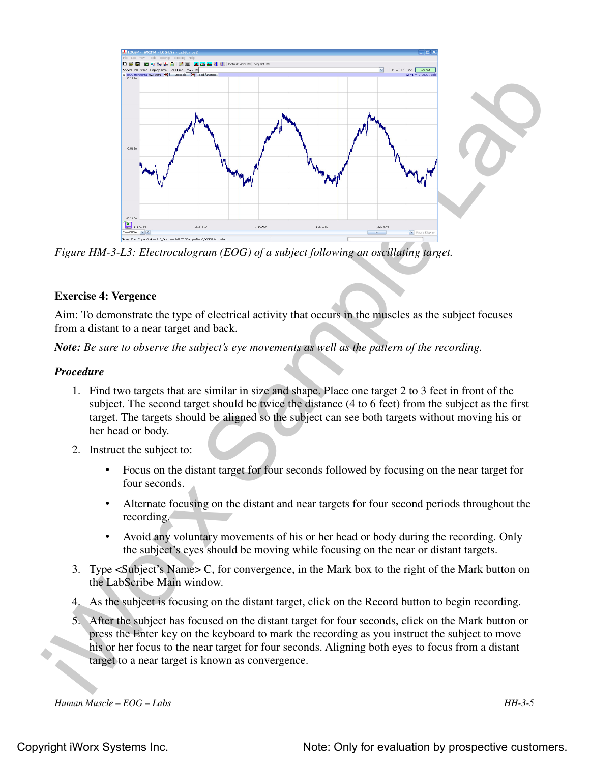

*Figure HM-3-L3: Electroculogram (EOG) of a subject following an oscillating target.*

## **Exercise 4: Vergence**

Aim: To demonstrate the type of electrical activity that occurs in the muscles as the subject focuses from a distant to a near target and back.

*Note: Be sure to observe the subject's eye movements as well as the pattern of the recording.*

### *Procedure*

- 1. Find two targets that are similar in size and shape. Place one target 2 to 3 feet in front of the subject. The second target should be twice the distance (4 to 6 feet) from the subject as the first target. The targets should be aligned so the subject can see both targets without moving his or her head or body.
- 2. Instruct the subject to:
	- Focus on the distant target for four seconds followed by focusing on the near target for four seconds.
	- Alternate focusing on the distant and near targets for four second periods throughout the recording.
	- Avoid any voluntary movements of his or her head or body during the recording. Only the subject's eyes should be moving while focusing on the near or distant targets.
- 3. Type <Subject's Name> C, for convergence, in the Mark box to the right of the Mark button on the LabScribe Main window.
- 4. As the subject is focusing on the distant target, click on the Record button to begin recording.
- 5. After the subject has focused on the distant target for four seconds, click on the Mark button or press the Enter key on the keyboard to mark the recording as you instruct the subject to move his or her focus to the near target for four seconds. Aligning both eyes to focus from a distant target to a near target is known as convergence.

*Human Muscle – EOG – Labs HH-3-5*